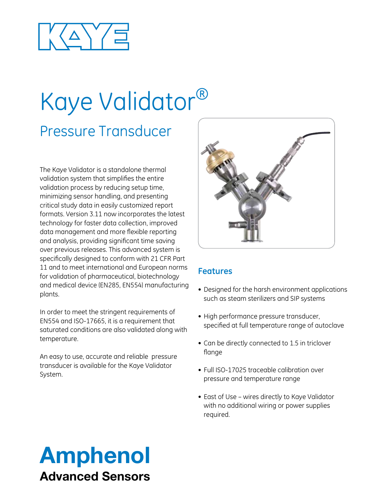

# Kaye Validator®

## Pressure Transducer

The Kaye Validator is a standalone thermal validation system that simplifies the entire validation process by reducing setup time, minimizing sensor handling, and presenting critical study data in easily customized report formats. Version 3.11 now incorporates the latest technology for faster data collection, improved data management and more flexible reporting and analysis, providing significant time saving over previous releases. This advanced system is specifically designed to conform with 21 CFR Part 11 and to meet international and European norms for validation of pharmaceutical, biotechnology and medical device (EN285, EN554) manufacturing plants.

In order to meet the stringent requirements of EN554 and ISO-17665, it is a requirement that saturated conditions are also validated along with temperature.

An easy to use, accurate and reliable pressure transducer is available for the Kaye Validator System.



#### **Features**

- Designed for the harsh environment applications such as steam sterilizers and SIP systems
- High performance pressure transducer, specified at full temperature range of autoclave
- Can be directly connected to 1.5 in triclover flange
- Full ISO-17025 traceable calibration over pressure and temperature range
- East of Use wires directly to Kaye Validator with no additional wiring or power supplies required.

# Amphenol Advanced Sensors